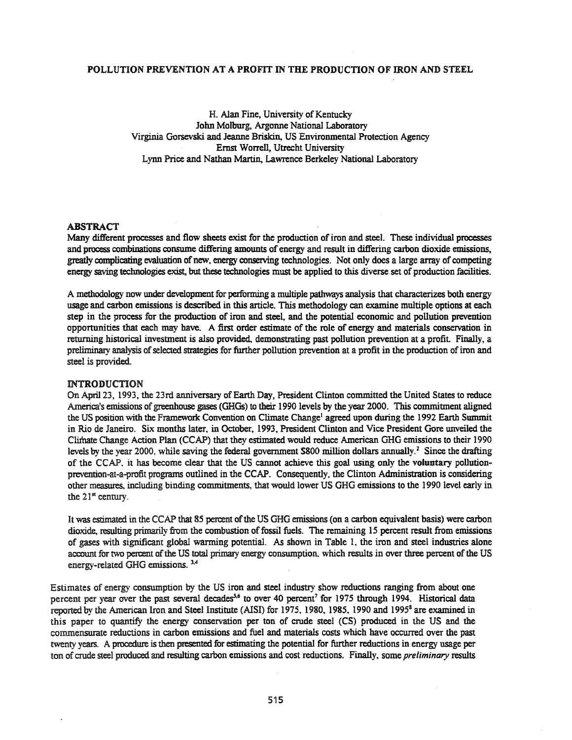### POLLUTION PREVENTION AT A PROFIT IN THE PRODUCTION OF IRON AND STEEL

H. Alan Fine, University of Kentucky 10hn Molburg, Argonne National Laboratory Virginia Gorsevski and leanne Briskin., US Environmental Protection Agency Ernst Worrell, Utrecht University Lynn Price and Nathan Martin. Lawrence Berkeley National Laboratory

# ABSTRACT

Many different processes and flow sheets exist for the production of iron and steel. These individual processes and process combinations consume differing amounts of energy and result in differing carbon dioxide emissions, greatly complicating evaluation of new, energy conserving technologies. Not only does a large array of competing energy saving technologies exist, but these technologies must be applied to this diverse set of production facilities.

A methodology now under development for performing a multiple pathways analysis that characterizes both energy usage and carbon emissions is described in this article. This methodology can examine multiple options at each step in the process for the production of iron and steel, and the potential economic and pollution prevention opportunities that each may have. A first order estimate of the role of energy and materials conservation in returning historical investment is also provided, demonstrating past pollution prevention at a profit. Finally, a preliminary analysis of selected strategies for further pollution prevention at a profit in the production of iron and steel is provided.

#### INTRODUCTION

On April 23, 1993, the 23rd anniversary of Earth Day, President Clinton committed the United States to reduce America's emissions of greenhouse gases (GHGs) to their 1990 levels by the year 2000. This commitment aligned the US position with the Framework Convention on Climate Change' agreed upon during the 1992 Earth Summit in Rio de laneiro. Six months later. in October, 1993. President Clinton and Vice President Gore unveiled the Climate Change Action Plan (CCAP) that they estimated would reduce American GHG emissions to their 1990 levels by the year 2000, while saving the federal government \$800 million dollars annually.<sup>2</sup> Since the drafting of the CCAP. it has become clear that the US cannot achieve this goal using only the voluntary pollutionprevention-at-a-protit programs outlined in the CCAP. Consequently, the Clinton Administration is considering other measures, including binding commitments, that would lower US GHG emissions to the 1990 level early in the  $21<sup>st</sup>$  century.

It was estimated in the CCAP that 85 percent of the US GHG emissions (on a carbon equivalent basis) were carbon dioxide, resulting primarily from the combustion of fossil fuels. The remaining 15 percent result from emissions of gases with significant global warming potential. As shown in Table I, the iron and steel industries alone account for two percent of the US total primary energy consumption, which results in over three percent of the US energy-related GHG emissions. 3.4

Estimates of energy consumption by the US iron and steel industry show reductions ranging from about one percent per year over the past several decades<sup>5,6</sup> to over 40 percent<sup>7</sup> for 1975 through 1994. Historical data reported by the American Iron and Steel Institute (AISI) for 1975, 1980, 1985, 1990 and 1995<sup>8</sup> are examined in this paper to quantify the energy conservation per ton of crude steel (CS) produced in the US and the commensurate reductions in carbon emissions and fuel and materials costs which have occurred over the past twenty years. Aprocedure is then presented for estimating the potential for further reductions in energy usage per ton of crude steel produced and resulting carbon emissions and cost reductions. Finally. some *preliminary* results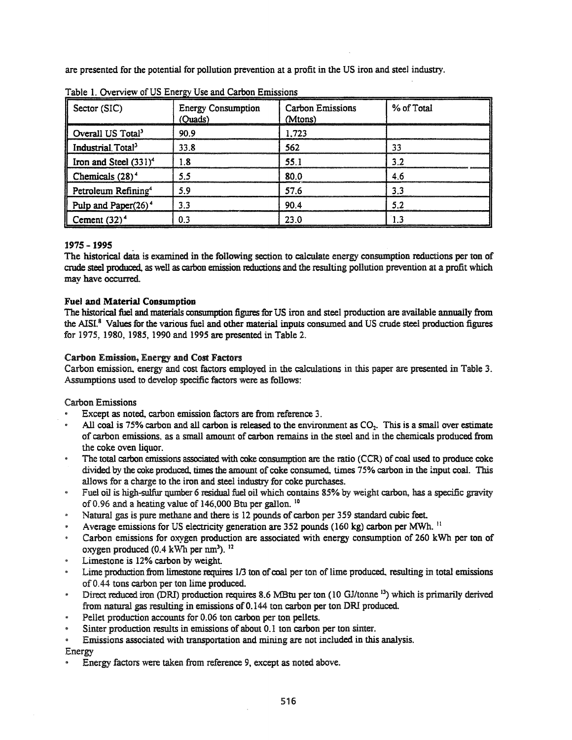are presented for the potential for pollution prevention at a profit in the US iron and steel industry.

| Sector (SIC)                      | <b>Energy Consumption</b><br>(Quads) | <b>Carbon Emissions</b><br>(Mtons) | % of Total |
|-----------------------------------|--------------------------------------|------------------------------------|------------|
| Overall US Total <sup>3</sup>     | 90.9                                 | 1.723                              |            |
| Industrial Total <sup>3</sup>     | 33.8                                 | 562                                | 33         |
| Iron and Steel (331) <sup>4</sup> | 1.8                                  | 55.1                               | 3.2        |
| Chemicals $(28)^4$                | 5.5                                  | 80.0                               | 4.6        |
| Petroleum Refining <sup>4</sup>   | 5.9                                  | 57.6                               | 3.3        |
| Pulp and Paper $(26)^4$           | 3.3                                  | 90.4                               | 52         |
| Cement $(32)^4$                   | 0.3                                  | 23.0                               |            |

Table 1. Overview of US Energy Use and Carbon Emissions

# 1975 -1995

The historical data is examined in the following section to calculate energy consumption reductions per ton of crude steel Produced. as well as carbon emission reductions and the resulting pollution prevention at a profit which may have occurred.

## Fuel and Material Consumption

The historical fuel and materials consumption figures for US iron and steel production are available annually from the AISI.<sup>8</sup> Values for the various fuel and other material inputs consumed and US crude steel production figures for 1975, 1980, 1985, 1990 and 1995 are presented in Table 2.

# Carbon Emission, Energy and Cost Factors

Carbon emission, energy and cost factors employed in the calculations in this paper are presented in Table 3. Assumptions used to develop specific factors were as follows:

## Carbon Emissions

- Except as noted, carbon emission factors are from reference 3.
- All coal is 75% carbon and all carbon is released to the environment as  $CO<sub>2</sub>$ . This is a small over estimate of carbon emissions. as a small amount of carbon remains in the steel and in the chemicals produced from the coke oven liquor.
- The total carbon emissions associated with coke consumption are the ratio (CCR) of coal used to produce coke  $\bullet$ divided by the coke produced, times the amount of coke consumed, times 75% carbon in the input coal. This allows for a charge to the iron and steel industry for coke purchases.
- Fuel oil is high-sulfur qumber 6 residual fuel oil which contains 85% by weight carbon, has a specific gravity of 0.96 and a heating value of 146,000 Btu per gallon. <sup>10</sup>
- Natural gas is pure methane and there is 12 pounds of carbon per 359 standard cubic feet
- Average emissions for US electricity generation are 352 pounds (160 kg) carbon per MWh. II
- Carbon emissions for oxygen production are associated with energy consumption of 260 kWh per ton of oxygen produced (0.4 kWh per nm<sup>3</sup>). <sup>12</sup>
- Limestone is 12% carbon by weight
- Lime production from limestone requires 1/3 ton of coal per ton of lime produced, resulting in total emissions of 0.44 tons carbon per ton lime produced.
- $\bullet$ Direct reduced iron (DRI) production requires 8.6 MBtu per ton (10 GJ/tonne <sup>13</sup>) which is primarily derived from natural gas resulting in emissions of 0.144 ton carbon per ton DRI produced.
- Pellet production accounts for 0.06 ton carbon per ton pellets.
- Sinter production results in emissions of about 0.1 ton carbon per ton sinter.
- Emissions associated with transportation and mining are not included in this analysis.

Energy

Energy factors were taken from reference 9, except as noted above.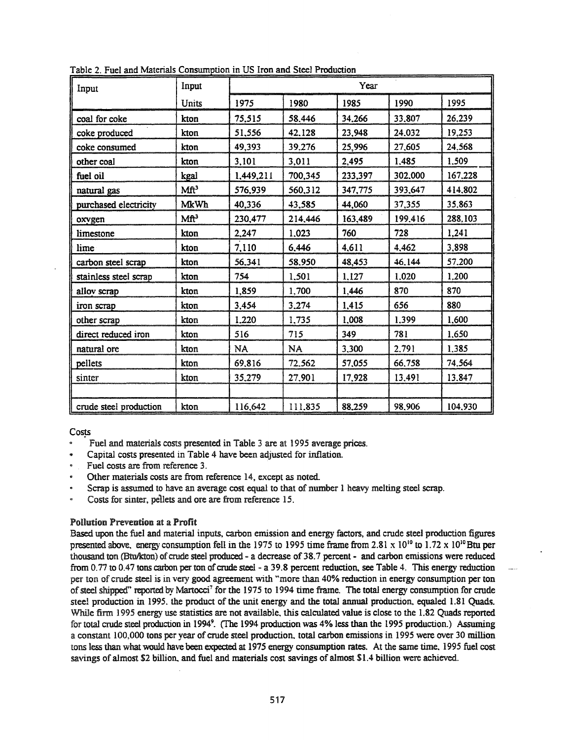| Input                  | Input            |           |           | Year    |         |         |  |
|------------------------|------------------|-----------|-----------|---------|---------|---------|--|
|                        | Units            | 1975      | 1980      | 1985    | 1990    | 1995    |  |
| coal for coke          | kton             | 75,515    | 58,446    | 34,266  | 33,807  | 26,239  |  |
| coke produced          | kton             | 51,556    | 42.128    | 23,948  | 24.032  | 19,253  |  |
| coke consumed          | kton             | 49,393    | 39.276    | 25,996  | 27,605  | 24.568  |  |
| other coal             | kton             | 3,101     | 3,011     | 2,495   | 1,485   | 1,509   |  |
| fuel oil               | kgal             | 1,449,211 | 700,345   | 233,397 | 302,000 | 167,228 |  |
| natural gas            | Mft <sup>3</sup> | 576,939   | 560,312   | 347,775 | 393,647 | 414,802 |  |
| purchased electricity  | <b>MkWh</b>      | 40,336    | 43,585    | 44,060  | 37,355  | 35,863  |  |
| oxygen                 | Mft <sup>3</sup> | 230,477   | 214,446   | 163,489 | 199,416 | 288,103 |  |
| limestone              | kton             | 2,247     | 1,023     | 760     | 728     | 1,241   |  |
| lime                   | kton             | 7.110     | 6.446     | 4,611   | 4,462   | 3,898   |  |
| carbon steel scrap     | kton             | 56,341    | 58.950    | 48,453  | 46.144  | 57.200  |  |
| stainless steel scrap  | kton             | 754       | 1,501     | 1,127   | 1,020   | 1.200   |  |
| alloy scrap            | kton             | 1,859     | 1,700     | 1,446   | 870     | 870     |  |
| iron scrap             | kton             | 3,454     | 3,274     | 1,415   | 656     | 880     |  |
| other scrap            | kton             | 1.220     | 1,735     | 1,008   | 1,399   | 1,600   |  |
| direct reduced iron    | kton             | 516       | 715       | 349     | 781     | 1,650   |  |
| natural ore            | kton             | <b>NA</b> | <b>NA</b> | 3,300   | 2.791   | 1.385   |  |
| pellets                | kton             | 69,816    | 72.562    | 57,055  | 66,758  | 74.564  |  |
| sinter                 | kton             | 35,279    | 27,901    | 17,928  | 13,491  | 13,847  |  |
|                        |                  |           |           |         |         |         |  |
| crude steel production | kton             | 116,642   | 111.835   | 88,259  | 98,906  | 104.930 |  |

Table 2. Fuel and Materials Consumption in US Iron and Steel Production

Costs

- Fuel and materials costs presented in Table 3 are at 1995 average prices.
- Capital costs presented in Table 4 have been adjusted for inflation.
- Fuel costs are from reference 3.
- Other materials costs are from reference 14, except as noted.
- Scrap is assumed to have an average cost equal to that of number 1 heavy melting steel scrap.
- Costs for sinter, pellets and ore are from reference 15.

## **Pollution Prevention at a Profit**

Based upon the fuel and material inputs, carbon emission and energy factors, and crude steel production figures presented above, energy consumption fell in the 1975 to 1995 time frame from 2.81 x 10<sup>10</sup> to 1.72 x 10<sup>10</sup> Btu per thousand ton (Btu/kton) of crude steel produced - a decrease of 38.7 percent - and carbon emissions were reduced from 0.77 to 0.47 tons carbon per ton of crude steel - a 39.8 percent reduction, see Table 4. This energy reduction per ton of crude steel is in very good agreement with "more than 40% reduction in energy consumption per ton of steel shipped" reported by Martocci<sup>7</sup> for the 1975 to 1994 time frame. The total energy consumption for crude steel production in 1995, the product of the unit energy and the total annual production, equaled 1.81 Quads. While firm 1995 energy use statistics are not available, this calculated value is close to the 1.82 Quads reported for total crude steel production in 1994<sup>9</sup>. (The 1994 production was 4% less than the 1995 production.) Assuming a constant 100,000 tons per year of crude steel production, total carbon emissions in 1995 were over 30 million tons less than what would have been expected at 1975 energy consumption rates. At the same time, 1995 fuel cost savings of almost \$2 billion, and fuel and materials cost savings of almost \$1.4 billion were achieved.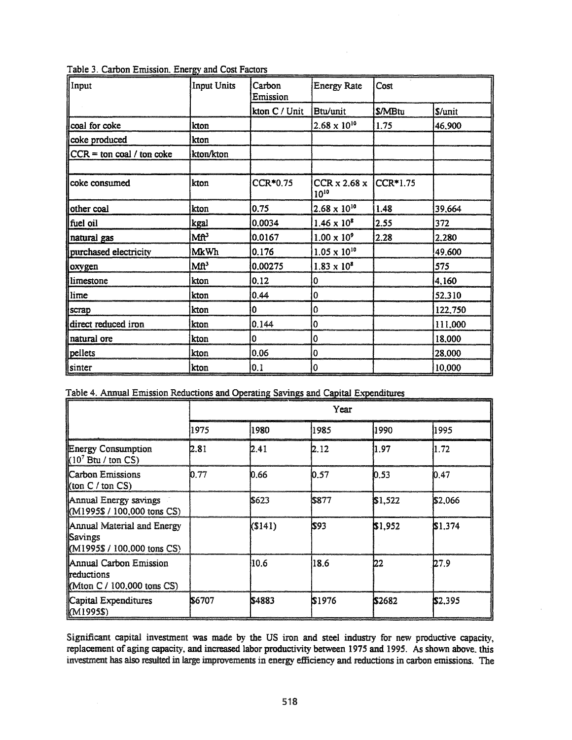| Input                       | <b>Input Units</b>    | Carbon<br>Emission | <b>Energy Rate</b>                               | Cost    |         |
|-----------------------------|-----------------------|--------------------|--------------------------------------------------|---------|---------|
|                             |                       | kton C / Unit      | Btu/unit                                         | \$/MBtu | S/unit  |
| coal for coke               | kton                  |                    | $2.68 \times 10^{10}$                            | 1.75    | 46,900  |
| coke produced               | kton                  |                    |                                                  |         |         |
| $CCR = ton coal / ton coke$ | kton/kton             |                    |                                                  |         |         |
|                             |                       |                    |                                                  |         |         |
| coke consumed               | kton                  | CCR*0.75           | $CCR \times 2.68 \times  CCR^*1.75$<br>$10^{10}$ |         |         |
| other coal                  | kton                  | 0.75               | $2.68 \times 10^{10}$                            | 1.48    | 39,664  |
| fuel oil                    | kgal                  | 0.0034             | $1.46 \times 10^8$                               | 2.55    | 372     |
| natural gas                 | <b>Mf<sup>3</sup></b> | 0.0167             | $1.00 \times 10^{9}$                             | 2.28    | 2.280   |
| purchased electricity       | <b>MkWh</b>           | 0.176              | $1.05 \times 10^{10}$                            |         | 49,600  |
| oxygen                      | Mft <sup>3</sup>      | 0.00275            | $1.83 \times 10^{8}$                             |         | 575     |
| limestone                   | kton                  | 0.12               | 0                                                |         | 4,160   |
| lime                        | kton                  | 0.44               | 0                                                |         | 52.310  |
| scrap                       | kton                  | 0                  | 0                                                |         | 122,750 |
| direct reduced iron         | kton                  | 0.144              | 0                                                |         | 111,000 |
| natural ore                 | kton                  | 0                  | 0                                                |         | 18,000  |
| pellets                     | kton                  | 0.06               | 0                                                |         | 28.000  |
| sinter                      | kton                  | 0.1                | 10                                               |         | 10,000  |

|  |  |  | Table 3. Carbon Emission. Energy and Cost Factors |  |  |  |  |
|--|--|--|---------------------------------------------------|--|--|--|--|
|--|--|--|---------------------------------------------------|--|--|--|--|

| Table 4. Annual Emission Reductions and Operating Savings and Capital Expenditures |  |
|------------------------------------------------------------------------------------|--|

| Table +. Allingal Linussion Acquedions and Operating Savings and Capital Expenditures |        |        | Year   |         |         |
|---------------------------------------------------------------------------------------|--------|--------|--------|---------|---------|
|                                                                                       | 1975   | 1980   | 11985  | 1990    | 1995    |
| <b>Energy Consumption</b><br>$(10^7 \text{ Btu} / \text{ton CS})$                     | 12.81  | 12.41  | l2.12  | 11.97   | 1.72    |
| Carbon Emissions<br>$\left \left(\text{ton } C / \text{ton } CS\right)\right $        | 10.77  | 10.66  | 10.57  | 10.53   | 10.47   |
| Annual Energy savings<br>$\left \left\{ \left( M1995\$ / 100,000 tons CS)             |        | \$623  | 5877   | \$1,522 | \$2,066 |
| Annual Material and Energy<br><b>Savings</b><br>$(M1995\$ / 100,000 tons CS)          |        | (S141) | \$93   | \$1,952 | \$1,374 |
| Annual Carbon Emission<br>llreductions<br>$M$ ton C / 100,000 tons CS)                |        | 10.6   | 18.6   | 122     | 127.9   |
| Capital Expenditures<br>(M1995\$)                                                     | IS6707 | \$4883 | \$1976 | \$2682  | \$2,395 |

Significant capital investment was made by the US iron and steel industry for new productive capacity, replacement of aging capacity, and increased labor productivity between 1975 and 1995. As shown above, this investment has also resulted in large improvements in energy efficiency and reductions in carbon emissions. The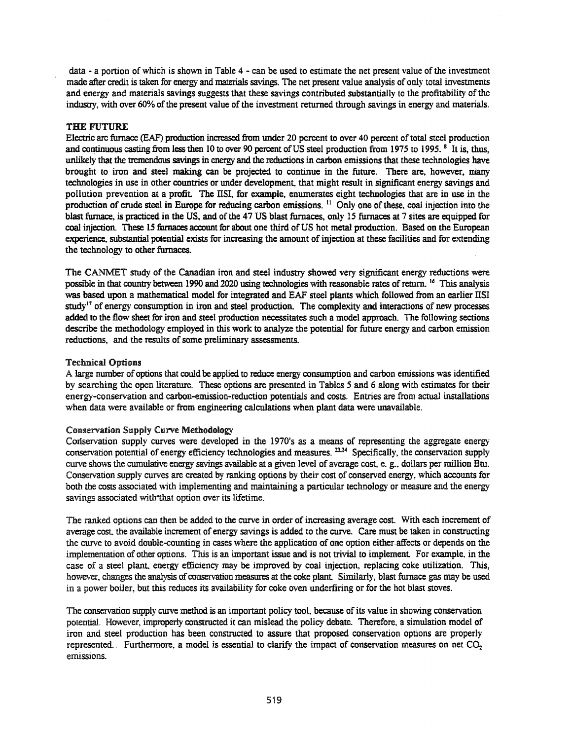data - a portion of which is shown in Table 4 - can be used to estimate the net present value of the investment made after credit is taken for energy and materials savings. The net present value analysis of only total investments and energy and materials savings suggests that these savings contributed substantially to the profitability of the industry, with over 60% of the present value of the investment returned through savings in energy and materials.

### THE FUTURE

Electric arc furnace (EAF) production increased from under 20 percent to over 40 percent oftotal steel production and continuous casting from less then 10 to over 90 percent of US steel production from 1975 to 1995.<sup>8</sup> It is, thus, unlikely that the tremendous savings in energy and the reductions in carbon emissions that these technologies have brought to iron and steel making can be projected to continue in the future. There are, however, many technologies in use in other countries or under development, that might result in significant energy savings and pollution prevention at a profit. The IISI, for example, enumerates eight technologies that are in use in the production of crude steel in Europe for reducing carbon emissions.<sup>11</sup> Only one of these, coal injection into the blast furnace, is practiced in the US, and of the 47 US blast furnaces, only 15 furnaces at 7 sites are equipped for coal injection. These 15 furnaces account for about one third of US hot metal production. Based on the European experience, substantial potential exists for increasing the amount of injection at these facilities and for extending the technology to other furnaces.

The CANMET study of the Canadian iron and steel industry showed very significant energy reductions were possible in that country between 1990 and 2020 using technologies with reasonable rates of return. <sup>16</sup> This analysis was based upon a mathematical model for integrated and EAF steel plants which followed from an earlier lISI study<sup>17</sup> of energy consumption in iron and steel production. The complexity and interactions of new processes added to the flow sheet for iron and steel production necessitates such a model approach. The following sections describe the methodology employed in this work to analyze the potential for future energy and carbon emission reductions, and the results of some preliminary assessments.

#### Technical Options

A large number of options that could be applied to reduce energy consumption and carbon emissions was identified by searching the open literature. These options are presented in Tables 5 and 6 along with estimates for their energy-conservation and carbon-emission-reduction potentials and costs. Entries are from actual installations when data were available or from engineering calculations when plant data were unavailable.

# Conservation Supply Curve Metbodology

Corlservation supply curves were developed in the 1970's as a means of representing the aggregate energy conservation potential of energy efficiency technologies and measures. <sup>23,24</sup> Specifically, the conservation supply curve shows the cumulative energy savings available at a given level of average cost, e. g., dollars per million Btu. Conservation supply curves are created by ranking options by their cost of conserved energy, which accounts for both the costs associated with implementing and maintaining a particular technology or measure and the energy savings associated with that option over its lifetime.

The ranked options can then be added to the curve in order of increasing average cost. With each increment of average cost, the available increment of energy savings is added to the curve. Care must be taken in constructing the curve to avoid double-counting in cases where the application of one option either.affects or depends on the implementation of other options. This is an important issue and is not trivial to implement. For example, in the case of a steel plant, energy efficiency may be improved by coal injection, replacing coke utilization. This, however, changes the analysis of conservation measures at the coke plant. Similarly, blast furnace gas may be used in a power boiler, but this reduces its availability for coke oven underfiring or for the hot blast stoves.

The conservation supply curve method is an important policy tool, because of its value in showing conservation potential. However. improperly constructed it can mislead the policy debate. Therefore. a simulation model of iron and steel production has been constructed to assure that proposed conservation options are properly represented. Furthermore, a model is essential to clarify the impact of conservation measures on net  $CO<sub>2</sub>$ emissions.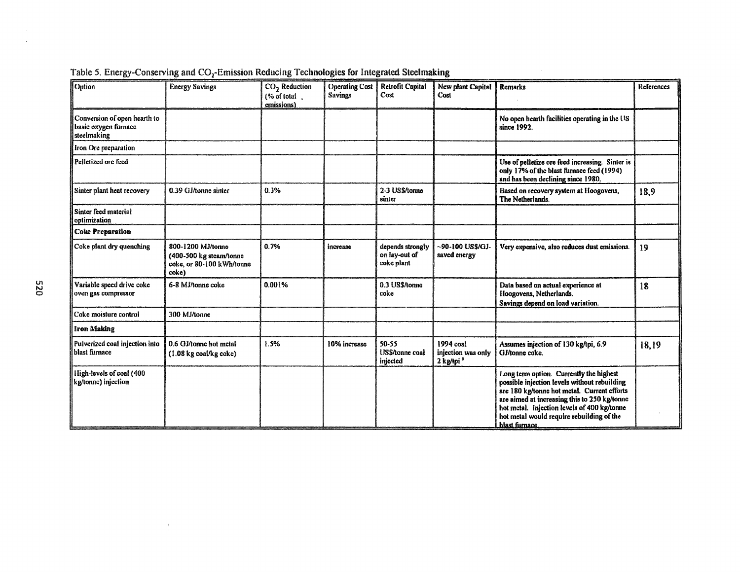| Option                                                              | <b>Energy Savings</b>                                                              | $CO2$ Reduction<br>$($ % of total $\alpha$ .<br>emissions) | <b>Operating Cost</b><br><b>Savings</b> | <b>Retrofit Capital</b><br>Cost                 | New plant Capital<br>Cost                                | <b>Remarks</b>                                                                                                                                                                                                                                                                                       | References |
|---------------------------------------------------------------------|------------------------------------------------------------------------------------|------------------------------------------------------------|-----------------------------------------|-------------------------------------------------|----------------------------------------------------------|------------------------------------------------------------------------------------------------------------------------------------------------------------------------------------------------------------------------------------------------------------------------------------------------------|------------|
| Conversion of open hearth to<br>basic oxygen furnace<br>steelmaking |                                                                                    |                                                            |                                         |                                                 |                                                          | No open hearth facilities operating in the US<br>since 1992.                                                                                                                                                                                                                                         |            |
| Iron Ore preparation                                                |                                                                                    |                                                            |                                         |                                                 |                                                          |                                                                                                                                                                                                                                                                                                      |            |
| Pelletized ore feed                                                 |                                                                                    |                                                            |                                         |                                                 |                                                          | Use of pelletize ore feed increasing. Sinter is<br>only 17% of the blast furnace feed (1994)<br>and has been declining since 1980.                                                                                                                                                                   |            |
| Sinter plant heat recovery                                          | 0.39 GJ/tonne sinter                                                               | 0.3%                                                       |                                         | 2-3 US\$/tonne<br>sinter                        |                                                          | Based on recovery system at Hoogovens,<br>The Netherlands.                                                                                                                                                                                                                                           | 18,9       |
| Sinter feed material<br>optimization                                |                                                                                    |                                                            |                                         |                                                 |                                                          |                                                                                                                                                                                                                                                                                                      |            |
| <b>Coke Preparation</b>                                             |                                                                                    |                                                            |                                         |                                                 |                                                          |                                                                                                                                                                                                                                                                                                      |            |
| Coke plant dry quenching                                            | 800-1200 MJ/tonne<br>(400-500 kg steam/tonne<br>coke, or 80-100 kWh/tonne<br>coke) | 0.7%                                                       | increase                                | depends strongly<br>on lay-out of<br>coke plant | ~90-100 US\$/GJ-<br>saved energy                         | Very expensive, also reduces dust emissions.                                                                                                                                                                                                                                                         | 19         |
| Variable speed drive coke<br>oven gas compressor                    | 6-8 MJ/tonne coke                                                                  | 0.001%                                                     |                                         | 0.3 US\$/tonne<br>coke                          |                                                          | Data based on actual experience at<br>Hoogovens, Netherlands.<br>Savings depend on load variation.                                                                                                                                                                                                   | 18         |
| Coke moisture control                                               | 300 MJ/tonne                                                                       |                                                            |                                         |                                                 |                                                          |                                                                                                                                                                                                                                                                                                      |            |
| <b>Iron Making</b>                                                  |                                                                                    |                                                            |                                         |                                                 |                                                          |                                                                                                                                                                                                                                                                                                      |            |
| Pulverized coal injection into<br>blast furnace                     | 0.6 GJ/tonne hot metal<br>$(1.08 \text{ kg} \text{ coal/kg} \text{coke})$          | 1.5%                                                       | 10% increase                            | 50-55<br>US\$/tonne coal<br>injected            | 1994 coal<br>injection was only<br>2 kg/tpi <sup>9</sup> | Assumes injection of 130 kg/tpi, 6.9<br>GJ/tonne coke.                                                                                                                                                                                                                                               | 18,19      |
| High-levels of coal (400<br>kg/tonne) injection                     |                                                                                    |                                                            |                                         |                                                 |                                                          | Long term option. Currently the highest<br>possible injection levels without rebuilding<br>are 180 kg/tonne hot metal. Current efforts<br>are aimed at increasing this to 250 kg/tonne<br>hot metal. Injection levels of 400 kg/tonne<br>hot metal would require rebuilding of the<br>blast furnace. |            |

|  |  |  |  | Table 5. Energy-Conserving and CO <sub>1</sub> -Emission Reducing Technologies for Integrated Steelmaking |
|--|--|--|--|-----------------------------------------------------------------------------------------------------------|
|  |  |  |  |                                                                                                           |

 $\frac{1}{\tau}$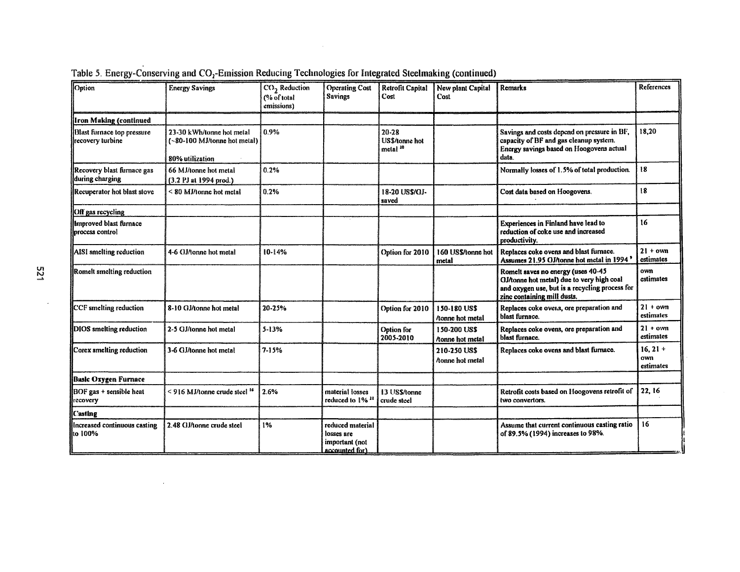| Option                                                | <b>Energy Savings</b>                                                        | CO <sub>2</sub> Reduction<br>(% of total)<br>emissions) | <b>Operating Cost</b><br><b>Savings</b>                            | Retrofit Capital<br>Cost                           | New plant Capital<br>Cost              | Remarks                                                                                                                                                          | References                     |
|-------------------------------------------------------|------------------------------------------------------------------------------|---------------------------------------------------------|--------------------------------------------------------------------|----------------------------------------------------|----------------------------------------|------------------------------------------------------------------------------------------------------------------------------------------------------------------|--------------------------------|
| <b>Iron Making (continued</b>                         |                                                                              |                                                         |                                                                    |                                                    |                                        |                                                                                                                                                                  |                                |
| <b>Blast furnace top pressure</b><br>recovery turbine | 23-30 kWh/tonne hot metal<br>(~80-100 MJ/tonne hot metal)<br>80% utilization | 0.9%                                                    |                                                                    | $20 - 28$<br>US\$/tonne hot<br>metal <sup>10</sup> |                                        | Savings and costs depend on pressure in BF,<br>capacity of BF and gas cleanup system.<br>Energy savings based on Hoogovens actual<br>data.                       | 18,20                          |
| Recovery blast furnace gas<br>during charging         | 66 MJ/tonne hot metal<br>(3.2 PJ at 1994 prod.)                              | 0.2%                                                    |                                                                    |                                                    |                                        | Normally losses of 1.5% of total production.                                                                                                                     | 18                             |
| Recuperator hot blast stove                           | $< 80$ MJ/tonne hot metal                                                    | 0.2%                                                    |                                                                    | 18-20 US\$/GJ-<br>saved                            |                                        | Cost data based on Hoogovens.                                                                                                                                    | 18                             |
| Off gas recycling                                     |                                                                              |                                                         |                                                                    |                                                    |                                        |                                                                                                                                                                  |                                |
| Improved blast furnace<br>process control             |                                                                              |                                                         |                                                                    |                                                    |                                        | Experiences in Finland have lead to<br>reduction of coke use and increased<br>productivity.                                                                      | 16                             |
| AISI smelting reduction                               | 4-6 GJ/tonne hot metal                                                       | 10-14%                                                  |                                                                    | Option for 2010                                    | 160 US\$/tonne hot<br>metal            | Replaces coke ovens and blast furnace.<br>Assumes 21.95 GJ/tonne hot metal in 1994                                                                               | $21 + own$<br>estimates        |
| Romelt smelting reduction                             |                                                                              |                                                         |                                                                    |                                                    |                                        | Romelt saves no energy (uses 40-45<br>GJ/tonne hot metal) due to very high coal<br>and oxygen use, but is a recycling process for<br>zinc containing mill dusts. | own<br>estimates               |
| CCF smelting reduction                                | 8-10 GJ/tonne hot metal                                                      | 20-25%                                                  |                                                                    | Option for 2010                                    | 150-180 US\$<br>/tonne hot metal       | Replaces coke overs, ore preparation and<br>blast furnace.                                                                                                       | $21 + own$<br>estimates        |
| DIOS smelting reduction                               | 2-5 GJ/tonne hot metal                                                       | $5 - 13%$                                               |                                                                    | Option for<br>2005-2010                            | 150-200 US\$<br>/tonne hot metal       | Replaces coke ovens, ore preparation and<br>blast furnace.                                                                                                       | $21 + \text{own}$<br>estimates |
| Corex smelting reduction                              | 3-6 GJ/tonne hot metal                                                       | $7 - 15%$                                               |                                                                    |                                                    | 210-250 US\$<br><i>Aonne hot metal</i> | Replaces coke ovens and blast furnace.                                                                                                                           | $16, 21 +$<br>own<br>estimates |
| Basic Oxygen Furnace                                  |                                                                              |                                                         |                                                                    |                                                    |                                        |                                                                                                                                                                  |                                |
| BOF gas + sensible heat<br>recovery                   | < 916 MJ/tonne crude steel 16                                                | 2.6%                                                    | material losses<br>reduced to 1% <sup>11</sup>                     | 13 US\$/tonne<br>crude steel                       |                                        | Retrofit costs based on Hoogovens retrofit of<br>two convertors.                                                                                                 | 22, 16                         |
| <b>Casting</b>                                        |                                                                              |                                                         |                                                                    |                                                    |                                        |                                                                                                                                                                  |                                |
| Increased continuous casting<br>to 100%               | 2.48 GJ/tonne crude steel                                                    | 1%                                                      | reduced material<br>losses are<br>important (not<br>accounted for) |                                                    |                                        | Assume that current continuous casting ratio<br>of 89.5% (1994) increases to 98%.                                                                                | 16                             |

Table 5. Energy-Conserving and CO<sub>2</sub>-Emission Reducing Technologies for Integrated Steelmaking (continued)

 $\sim$ 

 $\bar{z}$ 

 $\sim$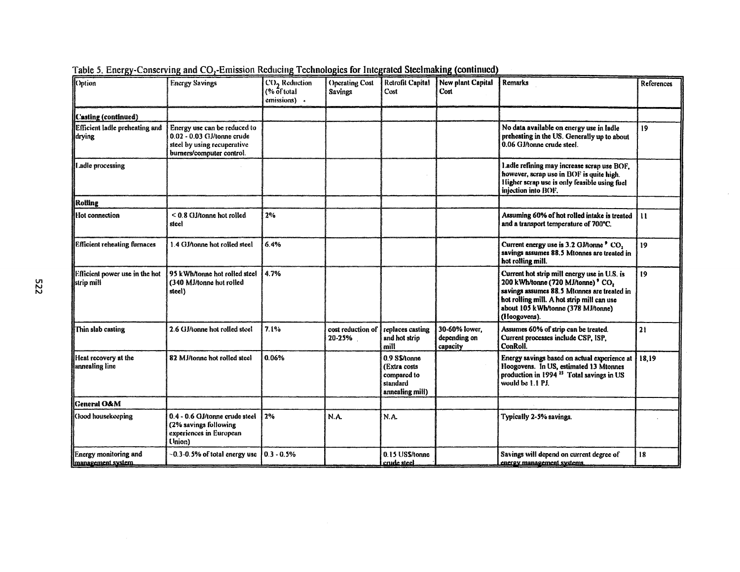| Option                                            | <b>Energy Savings</b>                                                                                                  | CO <sub>2</sub> Reduction<br>$(% 6$ f total<br>emissions) . | <b>Operating Cost</b><br><b>Savings</b> | Retrofit Capital<br>Cost                                                    | New plant Capital<br>Cost                 | Remarks                                                                                                                                                                                                                               | References      |
|---------------------------------------------------|------------------------------------------------------------------------------------------------------------------------|-------------------------------------------------------------|-----------------------------------------|-----------------------------------------------------------------------------|-------------------------------------------|---------------------------------------------------------------------------------------------------------------------------------------------------------------------------------------------------------------------------------------|-----------------|
| Casting (continued)                               |                                                                                                                        |                                                             |                                         |                                                                             |                                           |                                                                                                                                                                                                                                       |                 |
| Efficient ladle preheating and<br>drying          | Energy use can be reduced to<br>0.02 - 0.03 GJ/tonne crude<br>steel by using recuperative<br>burners/computer control. |                                                             |                                         |                                                                             |                                           | No data available on energy use in ladle<br>preheating in the US. Generally up to about<br>0.06 GJ/tonne crude steel.                                                                                                                 | 19              |
| I adle processing                                 |                                                                                                                        |                                                             |                                         |                                                                             |                                           | Ladie refining may increase scrap use BOF,<br>however, scrap use in BOF is quite high.<br>Higher scrap use is only feasible using fuel<br>injection into BOF.                                                                         |                 |
| Rolling                                           |                                                                                                                        |                                                             |                                         |                                                                             |                                           |                                                                                                                                                                                                                                       |                 |
| Hot connection                                    | $< 0.8$ GJ/tonne hot rolled<br>steel                                                                                   | 2%                                                          |                                         |                                                                             |                                           | Assuming 60% of hot rolled intake is treated<br>and a transport temperature of 700°C.                                                                                                                                                 | $\mathbf{u}$    |
| <b>Efficient reheating furnaces</b>               | 1.4 GJ/tonne hot rolled steel                                                                                          | 6.4%                                                        |                                         |                                                                             |                                           | Current energy use is 3.2 GJ/tonne <sup>9</sup> CO <sub>1</sub><br>savings assumes 88.5 Mtonnes are treated in<br>hot rolling mill.                                                                                                   | 19              |
| Efficient power use in the hot<br>  strip mill    | 95 kWh/tonne hot rolled steel<br>(340 MJ/tonne hot rolled<br>steel)                                                    | 4.7%                                                        |                                         |                                                                             |                                           | Current hot strip mill energy use in U.S. is<br>200 kWh/tonne (720 MJ/tonne) ° CO,<br>savings assumes 88.5 Mtonnes are treated in<br>hot rolling mill. A hot strip mill can use<br>about 105 kWh/tonne (378 MJ/tonne)<br>(Hoogovens). | 19 <sup>°</sup> |
| Thin slab casting                                 | 2.6 GJ/tonne hot rolled steel                                                                                          | 7.1%                                                        | cost reduction of<br>20-25%             | replaces casting<br>and hot strip<br>mill                                   | 30-60% lower.<br>depending on<br>capacity | Assumes 60% of strip can be treated.<br>Current processes include CSP, ISP,<br>ConRoll.                                                                                                                                               | 21              |
| Heat recovery at the<br>annealing line            | 82 MJ/tonne hot rolled steel                                                                                           | 0.06%                                                       |                                         | 0.9 S\$/tonne<br>(Extra costs<br>compared to<br>standard<br>annealing mill) |                                           | Energy savings based on actual experience at<br>Hoogovens. In US, estimated 13 Mtonnes<br>production in 1994 <sup>25</sup> Total savings in US<br>would be 1.1 PJ.                                                                    | 18,19           |
| <b>Ceneral O&amp;M</b>                            |                                                                                                                        |                                                             |                                         |                                                                             |                                           |                                                                                                                                                                                                                                       |                 |
| Good housekeeping                                 | 0.4 - 0.6 GJ/tonne crude steel<br>(2% savings following<br>experiences in European<br>(Inion)                          | 2%                                                          | N.A.                                    | N.A.                                                                        |                                           | Typically 2-5% savings.                                                                                                                                                                                                               |                 |
| <b>Energy monitoring and</b><br>management system | $-0.3-0.5%$ of total energy use                                                                                        | $0.3 - 0.5%$                                                |                                         | 0.15 US\$/tonne<br>crude steel                                              |                                           | Savings will depend on current degree of<br>energy management systems.                                                                                                                                                                | 18              |

 $\alpha$ 

Table 5. Energy-Conserving and CO<sub>2</sub>-Emission Reducing Technologies for Integrated Steelmaking (continued)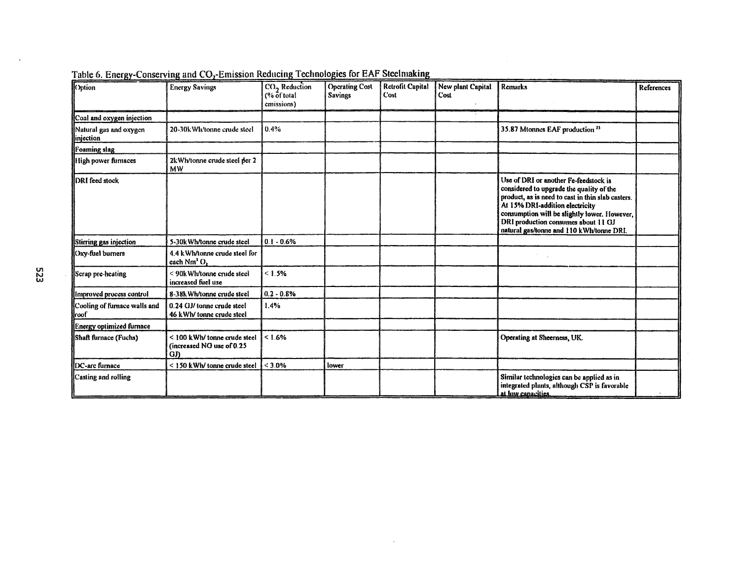| Cption                                 | <b>Energy Savings</b>                                                   | CO <sub>2</sub> Reduction<br>(% of total<br>emissions) | <b>Operating Cost</b><br><b>Savings</b> | Retrofit Capital<br>Cost | New plant Capital<br>Cost | <b>Remarks</b>                                                                                                                                                                                                                                                                                               | References |
|----------------------------------------|-------------------------------------------------------------------------|--------------------------------------------------------|-----------------------------------------|--------------------------|---------------------------|--------------------------------------------------------------------------------------------------------------------------------------------------------------------------------------------------------------------------------------------------------------------------------------------------------------|------------|
| Coal and oxygen injection              |                                                                         |                                                        |                                         |                          |                           |                                                                                                                                                                                                                                                                                                              |            |
| Natural gas and oxygen<br>linjection   | 20-30k Wh/tonne crude steel                                             | 0.4%                                                   |                                         |                          |                           | 35.87 Mtonnes EAF production <sup>25</sup>                                                                                                                                                                                                                                                                   |            |
| Foaming slag                           |                                                                         |                                                        |                                         |                          |                           |                                                                                                                                                                                                                                                                                                              |            |
| High power furnaces                    | 2k Wh/tonne crude steel per 2<br>мw                                     |                                                        |                                         |                          |                           |                                                                                                                                                                                                                                                                                                              |            |
| <b>IDRI feed stock</b>                 |                                                                         |                                                        |                                         |                          |                           | Use of DRI or another Fe-feedstock is<br>considered to upgrade the quality of the<br>product, as is need to cast in thin slab casters.<br>At 15% DRI-addition electricity<br>consumption will be slightly lower. However,<br>DRI production consumes about 11 GJ<br>natural gas/tonne and 110 kWh/tonne DRI. |            |
| Stirring gas injection                 | 5-30k Wh/tonne crude steel                                              | $0.1 - 0.6%$                                           |                                         |                          |                           |                                                                                                                                                                                                                                                                                                              |            |
| <b>Oxy-fuel burners</b>                | 4.4 kWh/tonne crude steel for<br>each Nm <sup>3</sup> O,                |                                                        |                                         |                          |                           |                                                                                                                                                                                                                                                                                                              |            |
| Scrap pre-heating                      | < 90k Wh/tonne crude steel<br>increased fuel use                        | < 1.5%                                                 |                                         |                          |                           |                                                                                                                                                                                                                                                                                                              |            |
| Il improved process control            | 8-38k Wh/tonne crude steel                                              | $0.2 - 0.8%$                                           |                                         |                          |                           |                                                                                                                                                                                                                                                                                                              |            |
| Cooling of furnace walls and<br>llroof | 0.24 GJ/ tonne crude steel<br>46 kWh/ tonne crude steel                 | 1.4%                                                   |                                         |                          |                           |                                                                                                                                                                                                                                                                                                              |            |
| Energy optimized furnace               |                                                                         |                                                        |                                         |                          |                           |                                                                                                                                                                                                                                                                                                              |            |
| Shaft furnace (Fuchs)                  | < 100 kWh/ tonne crude steel<br>(increased NG use of 0.25<br><b>GJ)</b> | < 1.6%                                                 |                                         |                          |                           | Operating at Sheemess, UK.                                                                                                                                                                                                                                                                                   |            |
| <b>IDC-arc</b> furnace                 | < 150 kWh/ tonne crude steel                                            | $< 3.0\%$                                              | lower                                   |                          |                           |                                                                                                                                                                                                                                                                                                              |            |
| Casting and rolling                    |                                                                         |                                                        |                                         |                          |                           | Similar technologies can be applied as in<br>integrated plants, although CSP is favorable<br>at low canacities.                                                                                                                                                                                              |            |

 $\,$  .

| Table 6. Energy-Conserving and CO <sub>2</sub> -Emission Reducing Technologies for EAF Steelmaking |  |
|----------------------------------------------------------------------------------------------------|--|
|----------------------------------------------------------------------------------------------------|--|

 $\hat{\mathcal{A}}$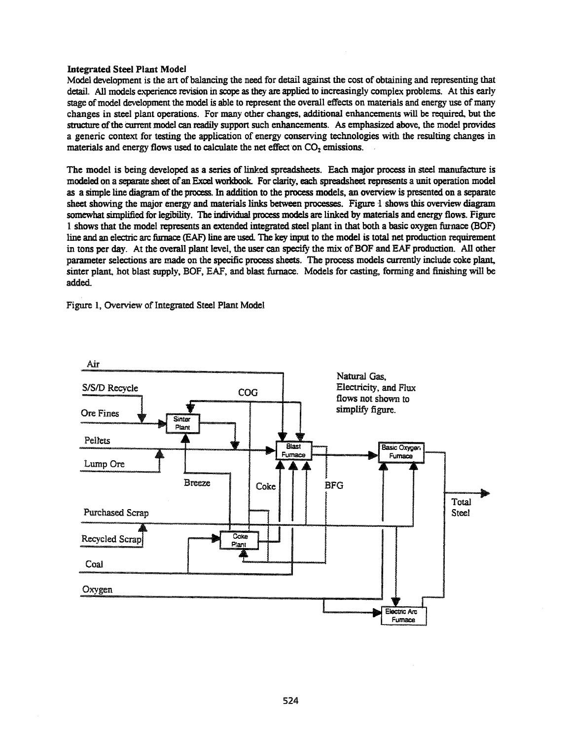### **Integrated Steel Plant Model**

Model development is the art of balancing the need for detail against the cost of obtaining and representing that detail. All models experience revision in scope as they are applied to increasingly complex problems. At this early stage of model development the model is able to represent the overall effects on materials and energy use of many changes in steel plant operations. For many other changes, additional enhancements will be required, but the structure of the current model can readily support such enhancements. As emphasized above, the model provides a generic context for testing the application of energy conserving technologies with the resulting changes in materials and energy flows used to calculate the net effect on CO<sub>2</sub> emissions.

The model is being developed as a series of linked spreadsheets. Each major process in steel manufacture is modeled on a separate sheet of an Excel workbook. For clarity, each spreadsheet represents a unit operation model as a simple line diagram of the process. In addition to the process models, an overview is presented on a separate sheet showing the major energy and materials links between processes. Figure 1 shows this overview diagram somewhat simplified for legibility. The individual process models are linked by materials and energy flows. Figure 1 shows that the model represents an extended integrated steel plant in that both a basic oxygen furnace (BOF) line and an electric arc furnace (EAF) line are used. The key input to the model is total net production requirement in tons per day. At the overall plant level, the user can specify the mix of BOF and EAF production. All other parameter selections are made on the specific process sheets. The process models currently include coke plant, sinter plant, hot blast supply, BOF, EAF, and blast furnace. Models for casting, forming and finishing will be added.

Figure 1, Overview of Integrated Steel Plant Model

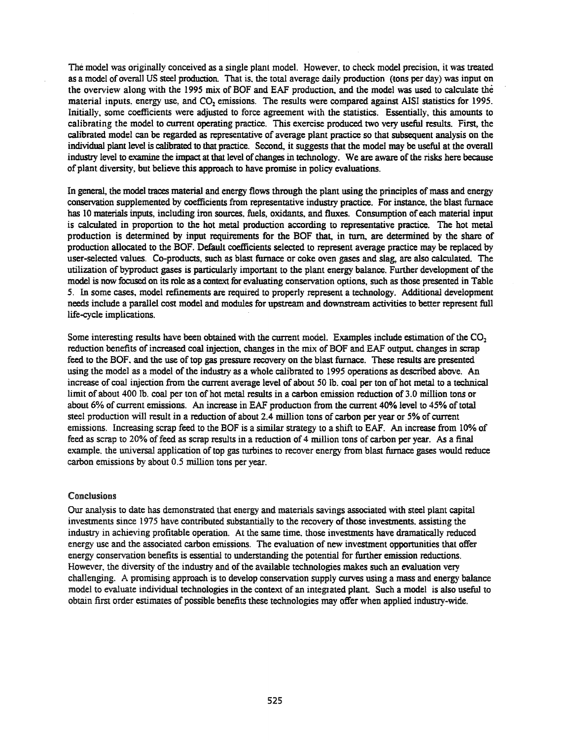The model was originally conceived as a single plant model. However, to check model precision, it was treated as a model of overall US steel production. That is, the total average daily production (tons per day) was input on the overview along with the 1995 mix of BOF and EAF production, and the model was used to calculate the material inputs, energy use, and CO<sub>2</sub> emissions. The results were compared against AISI statistics for 1995. Initially, some coefficients were adjusted to force agreement with the statistics. Essentially, this amounts to calibrating the model to current operating practice. This exercise produced two very useful results. First, the calibrated model can be regarded as representative of average plant practice so that subsequent analysis on the individual plant level is calibrated to that practice. Second, it suggests that the model may be useful at the overall industry level to examine the impact at that level of changes in technology. We are aware of the risks here because of plant diversity, but believe this approach to have promise in policy evaluations.

In general, the model traces material and energy flows through the plant using the principles of mass and energy conservation supplemented by coefficients from representative industry practice. For instance, the blast furnace has 10 materials inputs, including iron sources, fuels, oxidants, and fluxes. Consumption of each material input is calculated in proportion to the hot metal production according to representative practice. The hot metal production is determined by input requirements for the BOF that, in tum. are determined by the share of production allocated to the BOF. Default coefficients selected to represent average practice may be replaced by user-selected values. Co-products, such as blast furnace or coke oven gases and slag, are also calculated. The utilization of byproduct gases is particularly important to the plant energy balance. Further development ofthe model is now focused on its role as a context for evaluating conservation options, such as those presented in Table 5. In some cases, model refinements are required to properly represent a technology. Additional development needs include a parallel cost model and modules for upstream and downstream activities to better represent full life-cycle implications.

Some interesting results have been obtained with the current model. Examples include estimation of the  $CO<sub>2</sub>$ reduction benefits of increased coal injection, changes in the mix of BOF and EAF output, changes in scrap feed to the BOF. and the use of top gas pressure recovery on the blast furnace. These results are presented using the model as a model of the industry as a whole calibrated to 1995 operations as described above. An increase of coal injection from the current average level of about 50 lb. coal per ton of hot metal to a technical limit of about 400 lb. coal per ton of hot metal results in a carbon emission reduction of 3.0 million tons or about 6% of current emissions. An increase in EAF production from the current 40% level to 45% oftotal steel production will result in a reduction of about 2.4 million tons of carbon per year or 5% of current emissions. Increasing scrap feed to the BOF is a similar strategy to a shift to EAF. An increase from 10% of feed as scrap to 20% offeed as scrap results in a reduction of 4 million tons of carbon per year. As a final example, the universal application of top gas turbines to recover energy from blast furnace gases would reduce carbon emissions by about 0.5 million tons per year.

#### Conclusions

Our analysis to date has demonstrated that energy and materials savings associated with steel plant capital investments since 1975 have contributed substantially to the recovery ofthose investments. assisting the industry in achieving profitable operation. At the same time. those investments have dramatically reduced energy use and the associated carbon emissions. The evaluation of new investment opportunities that offer energy conservation benefits is essential to understanding the potential for further emission reductions. However, the diversity of the industry and of the available technologies makes such an evaluation very challenging. A promising approach is to develop conservation supply curves using a mass and energy balance model to evaluate individual technologies in the context of an integrated plant. Such a model is also useful to obtain first order estimates of possible benefits these technologies may offer when applied industry-wide.